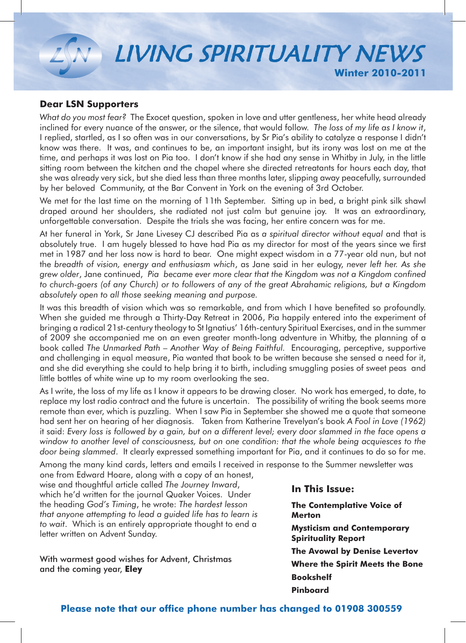# LIVING SPIRITUALITY NEWS **Winter 2010-2011**

#### **Dear LSN Supporters**

*What do you most fear?* The Exocet question, spoken in love and utter gentleness, her white head already inclined for every nuance of the answer, or the silence, that would follow. *The loss of my life as I know it*, I replied, startled, as I so often was in our conversations, by Sr Pia's ability to catalyze a response I didn't know was there. It was, and continues to be, an important insight, but its irony was lost on me at the time, and perhaps it was lost on Pia too. I don't know if she had any sense in Whitby in July, in the little sitting room between the kitchen and the chapel where she directed retreatants for hours each day, that she was already very sick, but she died less than three months later, slipping away peacefully, surrounded by her beloved Community, at the Bar Convent in York on the evening of 3rd October.

We met for the last time on the morning of 11th September. Sitting up in bed, a bright pink silk shawl draped around her shoulders, she radiated not just calm but genuine joy. It was an extraordinary, unforgettable conversation. Despite the trials she was facing, her entire concern was for me.

At her funeral in York, Sr Jane Livesey CJ described Pia as *a spiritual director without equal* and that is absolutely true. I am hugely blessed to have had Pia as my director for most of the years since we first met in 1987 and her loss now is hard to bear. One might expect wisdom in a 77-year old nun, but not the *breadth of vision, energy and enthusiasm which*, as Jane said in her eulogy, *never left her. As she grew older*, Jane continued, *Pia became ever more clear that the Kingdom was not a Kingdom confined to church-goers (of any Church) or to followers of any of the great Abrahamic religions, but a Kingdom absolutely open to all those seeking meaning and purpose.* 

It was this breadth of vision which was so remarkable, and from which I have benefited so profoundly. When she guided me through a Thirty-Day Retreat in 2006, Pia happily entered into the experiment of bringing a radical 21st-century theology to St Ignatius' 16th-century Spiritual Exercises, and in the summer of 2009 she accompanied me on an even greater month-long adventure in Whitby, the planning of a book called *The Unmarked Path – Another Way of Being Faithful.* Encouraging, perceptive, supportive and challenging in equal measure, Pia wanted that book to be written because she sensed a need for it, and she did everything she could to help bring it to birth, including smuggling posies of sweet peas and little bottles of white wine up to my room overlooking the sea.

As I write, the loss of my life as I know it appears to be drawing closer. No work has emerged, to date, to replace my lost radio contract and the future is uncertain. The possibility of writing the book seems more remote than ever, which is puzzling. When I saw Pia in September she showed me a quote that someone had sent her on hearing of her diagnosis. Taken from Katherine Trevelyan's book *A Fool in Love (1962)* it said: *Every loss is followed by a gain, but on a different level; every door slammed in the face opens a window to another level of consciousness, but on one condition: that the whole being acquiesces to the door being slammed*. It clearly expressed something important for Pia, and it continues to do so for me.

Among the many kind cards, letters and emails I received in response to the Summer newsletter was

one from Edward Hoare, along with a copy of an honest, wise and thoughtful article called *The Journey Inward*, which he'd written for the journal Quaker Voices. Under the heading *God's Timing*, he wrote: *The hardest lesson that anyone attempting to lead a guided life has to learn is to wait*. Which is an entirely appropriate thought to end a letter written on Advent Sunday.

With warmest good wishes for Advent, Christmas and the coming year, **Eley**

**In This Issue: The Contemplative Voice of Merton Mysticism and Contemporary Spirituality Report The Avowal by Denise Levertov Where the Spirit Meets the Bone Bookshelf Pinboard** 

#### **Please note that our office phone number has changed to 01908 300559**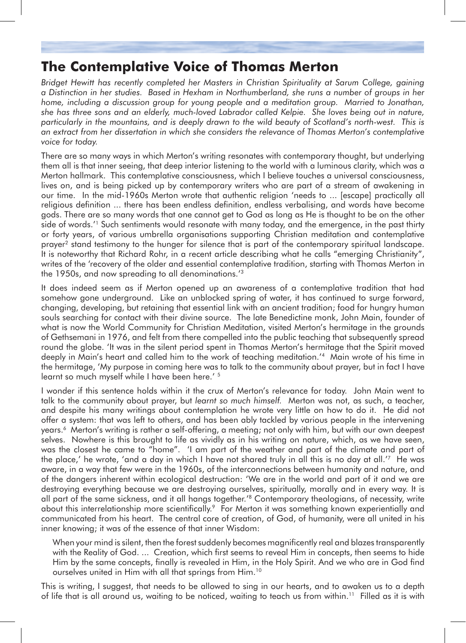### **The Contemplative Voice of Thomas Merton**

*Bridget Hewitt has recently completed her Masters in Christian Spirituality at Sarum College, gaining a Distinction in her studies. Based in Hexham in Northumberland, she runs a number of groups in her home, including a discussion group for young people and a meditation group. Married to Jonathan, she has three sons and an elderly, much-loved Labrador called Kelpie. She loves being out in nature, particularly in the mountains, and is deeply drawn to the wild beauty of Scotland's north-west. This is an extract from her dissertation in which she considers the relevance of Thomas Merton's contemplative voice for today.* 

There are so many ways in which Merton's writing resonates with contemporary thought, but underlying them all is that inner seeing, that deep interior listening to the world with a luminous clarity, which was a Merton hallmark. This contemplative consciousness, which I believe touches a universal consciousness, lives on, and is being picked up by contemporary writers who are part of a stream of awakening in our time. In the mid-1960s Merton wrote that authentic religion 'needs to ... [escape] practically all religious definition ... there has been endless definition, endless verbalising, and words have become gods. There are so many words that one cannot get to God as long as He is thought to be on the other side of words.'1 Such sentiments would resonate with many today, and the emergence, in the past thirty or forty years, of various umbrella organisations supporting Christian meditation and contemplative prayer2 stand testimony to the hunger for silence that is part of the contemporary spiritual landscape. It is noteworthy that Richard Rohr, in a recent article describing what he calls "emerging Christianity", writes of the 'recovery of the older and essential contemplative tradition, starting with Thomas Merton in the 1950s, and now spreading to all denominations.'3

It does indeed seem as if Merton opened up an awareness of a contemplative tradition that had somehow gone underground. Like an unblocked spring of water, it has continued to surge forward, changing, developing, but retaining that essential link with an ancient tradition; food for hungry human souls searching for contact with their divine source. The late Benedictine monk, John Main, founder of what is now the World Community for Christian Meditation, visited Merton's hermitage in the grounds of Gethsemani in 1976, and felt from there compelled into the public teaching that subsequently spread round the globe. 'It was in the silent period spent in Thomas Merton's hermitage that the Spirit moved deeply in Main's heart and called him to the work of teaching meditation.'4 Main wrote of his time in the hermitage, 'My purpose in coming here was to talk to the community about prayer, but in fact I have learnt so much myself while I have been here.' 5

I wonder if this sentence holds within it the crux of Merton's relevance for today. John Main went to talk to the community about prayer, but *learnt so much himself.* Merton was not, as such, a teacher, and despite his many writings about contemplation he wrote very little on how to do it. He did not offer a system: that was left to others, and has been ably tackled by various people in the intervening years.<sup>6</sup> Merton's writing is rather a self-offering, a meeting; not only with him, but with our own deepest selves. Nowhere is this brought to life as vividly as in his writing on nature, which, as we have seen, was the closest he came to "home". 'I am part of the weather and part of the climate and part of the place,' he wrote, 'and a day in which I have not shared truly in all this is no day at all.'7 He was aware, in a way that few were in the 1960s, of the interconnections between humanity and nature, and of the dangers inherent within ecological destruction: 'We are in the world and part of it and we are destroying everything because we are destroying ourselves, spiritually, morally and in every way. It is all part of the same sickness, and it all hangs together.'8 Contemporary theologians, of necessity, write about this interrelationship more scientifically.<sup>9</sup> For Merton it was something known experientially and communicated from his heart. The central core of creation, of God, of humanity, were all united in his inner knowing; it was of the essence of that inner Wisdom:

When your mind is silent, then the forest suddenly becomes magnificently real and blazes transparently with the Reality of God. ... Creation, which first seems to reveal Him in concepts, then seems to hide Him by the same concepts, finally is revealed in Him, in the Holy Spirit. And we who are in God find ourselves united in Him with all that springs from Him.10

This is writing, I suggest, that needs to be allowed to sing in our hearts, and to awaken us to a depth of life that is all around us, waiting to be noticed, waiting to teach us from within.11 Filled as it is with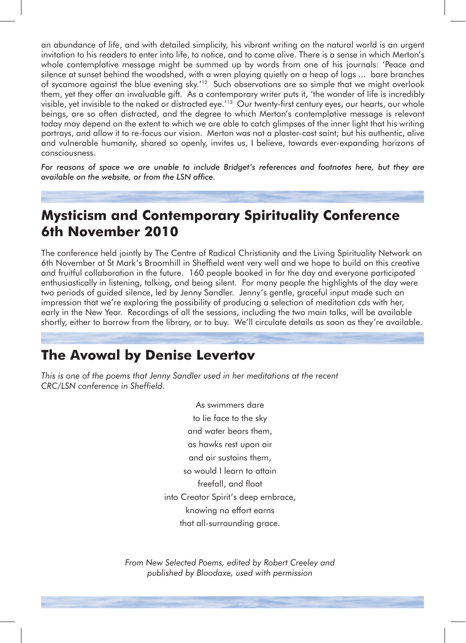an abundance of *life*, and with detailed simplicity, his vibrant writing on the natural world is an urgent invitation to his readers to enter into life, to notice, and to come alive. There is a sense in which Merton's whole contemplative message might be summed up by words from one of his journals: 'Peace and silence at sunset behind the woodshed, with a wren playing quietly on a heap of logs ... bare branches of sycamore against the blue evening sky.'12 Such observations are so simple that we might overlook them, yet they offer an invaluable gift. As a contemporary writer puts it, 'the wonder of life is incredibly visible, yet invisible to the naked or distracted eye.'13 Our twenty-first century eyes, our hearts, our whole beings, are so often distracted, and the degree to which Merton's contemplative message is relevant today may depend on the extent to which we are able to catch glimpses of the inner light that his writing portrays, and allow it to re-focus our vision. Merton was not a plaster-cast saint; but his authentic, alive and vulnerable humanity, shared so openly, invites us, I believe, towards ever-expanding horizons of consciousness.

*For reasons of space we are unable to include Bridget's references and footnotes here, but they are available on the website, or from the LSN office.*

# **Mysticism and Contemporary Spirituality Conference 6th November 2010**

The conference held jointly by The Centre of Radical Christianity and the Living Spirituality Network on 6th November at St Mark's Broomhill in Sheffield went very well and we hope to build on this creative and fruitful collaboration in the future. 160 people booked in for the day and everyone participated enthusiastically in listening, talking, and being silent. For many people the highlights of the day were two periods of guided silence, led by Jenny Sandler. Jenny's gentle, graceful input made such an impression that we're exploring the possibility of producing a selection of meditation cds with her, early in the New Year. Recordings of all the sessions, including the two main talks, will be available shortly, either to borrow from the library, or to buy. We'll circulate details as soon as they're available.

### **The Avowal by Denise Levertov**

*This is one of the poems that Jenny Sandler used in her meditations at the recent CRC/LSN conference in Sheffield.*

> As swimmers dare to lie face to the sky and water bears them, as hawks rest upon air and air sustains them, so would I learn to attain freefall, and float into Creator Spirit's deep embrace, knowing no effort earns that all-surrounding grace.

*From New Selected Poems, edited by Robert Creeley and published by Bloodaxe, used with permission*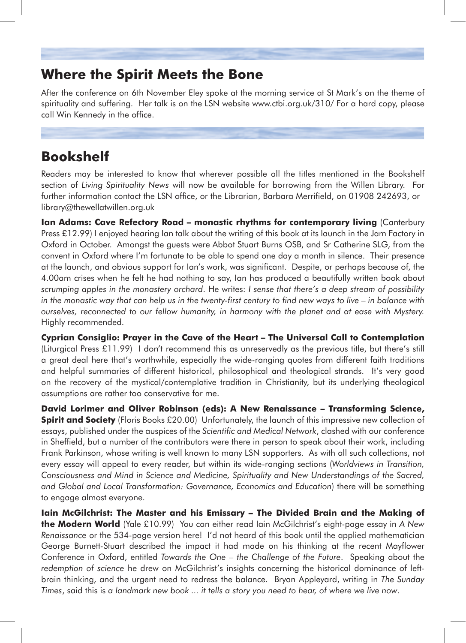### **Where the Spirit Meets the Bone**

After the conference on 6th November Eley spoke at the morning service at St Mark's on the theme of spirituality and suffering. Her talk is on the LSN website www.ctbi.org.uk/310/ For a hard copy, please call Win Kennedy in the office.

# **Bookshelf**

Readers may be interested to know that wherever possible all the titles mentioned in the Bookshelf section of *Living Spirituality News* will now be available for borrowing from the Willen Library. For further information contact the LSN office, or the Librarian, Barbara Merrifield, on 01908 242693, or library@thewellatwillen.org.uk

**Ian Adams: Cave Refectory Road - monastic rhythms for contemporary living (Canterbury** Press £12.99) I enjoyed hearing Ian talk about the writing of this book at its launch in the Jam Factory in Oxford in October. Amongst the guests were Abbot Stuart Burns OSB, and Sr Catherine SLG, from the convent in Oxford where I'm fortunate to be able to spend one day a month in silence. Their presence at the launch, and obvious support for Ian's work, was significant. Despite, or perhaps because of, the 4.00am crises when he felt he had nothing to say, Ian has produced a beautifully written book about *scrumping apples in the monastery orchard*. He writes: *I sense that there's a deep stream of possibility in the monastic way that can help us in the twenty-first century to find new ways to live – in balance with ourselves, reconnected to our fellow humanity, in harmony with the planet and at ease with Mystery.*  Highly recommended.

**Cyprian Consiglio: Prayer in the Cave of the Heart – The Universal Call to Contemplation** (Liturgical Press £11.99) I don't recommend this as unreservedly as the previous title, but there's still a great deal here that's worthwhile, especially the wide-ranging quotes from different faith traditions and helpful summaries of different historical, philosophical and theological strands. It's very good on the recovery of the mystical/contemplative tradition in Christianity, but its underlying theological assumptions are rather too conservative for me.

**David Lorimer and Oliver Robinson (eds): A New Renaissance – Transforming Science, Spirit and Society** (Floris Books £20.00) Unfortunately, the launch of this impressive new collection of essays, published under the auspices of the *Scientific and Medical Network*, clashed with our conference in Sheffield, but a number of the contributors were there in person to speak about their work, including Frank Parkinson, whose writing is well known to many LSN supporters. As with all such collections, not every essay will appeal to every reader, but within its wide-ranging sections (*Worldviews in Transition, Consciousness and Mind in Science and Medicine, Spirituality and New Understandings of the Sacred, and Global and Local Transformation: Governance, Economics and Education*) there will be something to engage almost everyone.

**Iain McGilchrist: The Master and his Emissary – The Divided Brain and the Making of the Modern World** (Yale £10.99) You can either read Iain McGilchrist's eight-page essay in *A New Renaissance* or the 534-page version here! I'd not heard of this book until the applied mathematician George Burnett-Stuart described the impact it had made on his thinking at the recent Mayflower Conference in Oxford, entitled *Towards the One – the Challenge of the Future*. Speaking about the *redemption of science* he drew on McGilchrist's insights concerning the historical dominance of leftbrain thinking, and the urgent need to redress the balance. Bryan Appleyard, writing in *The Sunday Times*, said this is *a landmark new book ... it tells a story you need to hear, of where we live now*.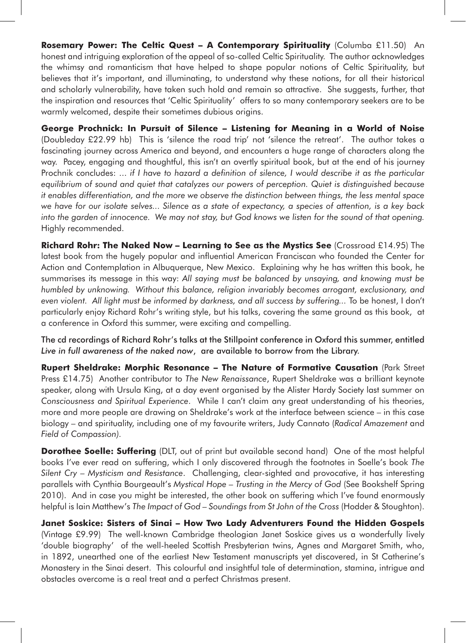**Rosemary Power: The Celtic Quest – A Contemporary Spirituality** (Columba £11.50) An honest and intriguing exploration of the appeal of so-called Celtic Spirituality. The author acknowledges the whimsy and romanticism that have helped to shape popular notions of Celtic Spirituality, but believes that it's important, and illuminating, to understand why these notions, for all their historical and scholarly vulnerability, have taken such hold and remain so attractive. She suggests, further, that the inspiration and resources that 'Celtic Spirituality' offers to so many contemporary seekers are to be warmly welcomed, despite their sometimes dubious origins.

**George Prochnick: In Pursuit of Silence – Listening for Meaning in a World of Noise** (Doubleday £22.99 hb) This is 'silence the road trip' not 'silence the retreat'. The author takes a fascinating journey across America and beyond, and encounters a huge range of characters along the way. Pacey, engaging and thoughtful, this isn't an overtly spiritual book, but at the end of his journey Prochnik concludes: ... *if I have to hazard a definition of silence, I would describe it as the particular equilibrium of sound and quiet that catalyzes our powers of perception. Quiet is distinguished because it enables differentiation, and the more we observe the distinction between things, the less mental space we have for our isolate selves... Silence as a state of expectancy, a species of attention, is a key back into the garden of innocence. We may not stay, but God knows we listen for the sound of that opening.*  Highly recommended.

**Richard Rohr: The Naked Now – Learning to See as the Mystics See** (Crossroad £14.95) The latest book from the hugely popular and influential American Franciscan who founded the Center for Action and Contemplation in Albuquerque, New Mexico. Explaining why he has written this book, he summarises its message in this way: *All saying must be balanced by unsaying, and knowing must be humbled by unknowing. Without this balance, religion invariably becomes arrogant, exclusionary, and even violent. All light must be informed by darkness, and all success by suffering...* To be honest, I don't particularly enjoy Richard Rohr's writing style, but his talks, covering the same ground as this book, at a conference in Oxford this summer, were exciting and compelling.

The cd recordings of Richard Rohr's talks at the Stillpoint conference in Oxford this summer, entitled *Live in full awareness of the naked now*, are available to borrow from the Library.

**Rupert Sheldrake: Morphic Resonance – The Nature of Formative Causation** (Park Street Press £14.75) Another contributor to *The New Renaissance*, Rupert Sheldrake was a brilliant keynote speaker, along with Ursula King, at a day event organised by the Alister Hardy Society last summer on *Consciousness and Spiritual Experience*. While I can't claim any great understanding of his theories, more and more people are drawing on Sheldrake's work at the interface between science – in this case biology – and spirituality, including one of my favourite writers, Judy Cannato (*Radical Amazement* and *Field of Compassion).* 

**Dorothee Soelle: Suffering** (DLT, out of print but available second hand) One of the most helpful books I've ever read on suffering, which I only discovered through the footnotes in Soelle's book *The Silent Cry – Mysticism and Resistance*. Challenging, clear-sighted and provocative, it has interesting parallels with Cynthia Bourgeault's *Mystical Hope – Trusting in the Mercy of God* (See Bookshelf Spring 2010). And in case you might be interested, the other book on suffering which I've found enormously helpful is Iain Matthew's *The Impact of God – Soundings from St John of the Cross* (Hodder & Stoughton).

**Janet Soskice: Sisters of Sinai – How Two Lady Adventurers Found the Hidden Gospels** (Vintage £9.99) The well-known Cambridge theologian Janet Soskice gives us a wonderfully lively 'double biography' of the well-heeled Scottish Presbyterian twins, Agnes and Margaret Smith, who, in 1892, unearthed one of the earliest New Testament manuscripts yet discovered, in St Catherine's Monastery in the Sinai desert. This colourful and insightful tale of determination, stamina, intrigue and obstacles overcome is a real treat and a perfect Christmas present.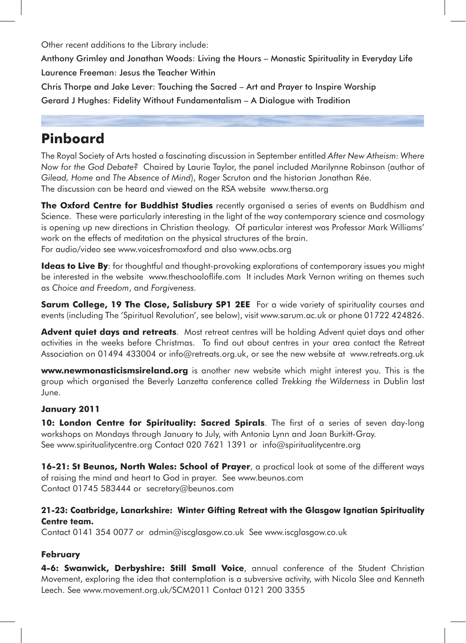Other recent additions to the Library include:

Anthony Grimley and Jonathan Woods: Living the Hours – Monastic Spirituality in Everyday Life Laurence Freeman: Jesus the Teacher Within

Chris Thorpe and Jake Lever: Touching the Sacred – Art and Prayer to Inspire Worship

Gerard J Hughes: Fidelity Without Fundamentalism – A Dialogue with Tradition

# **Pinboard**

The Royal Society of Arts hosted a fascinating discussion in September entitled *After New Atheism: Where Now for the God Debate?* Chaired by Laurie Taylor, the panel included Marilynne Robinson (author of *Gilead, Home* and *The Absence of Mind*), Roger Scruton and the historian Jonathan Rée. The discussion can be heard and viewed on the RSA website www.thersa.org

**The Oxford Centre for Buddhist Studies** recently organised a series of events on Buddhism and Science. These were particularly interesting in the light of the way contemporary science and cosmology is opening up new directions in Christian theology. Of particular interest was Professor Mark Williams' work on the effects of meditation on the physical structures of the brain. For audio/video see www.voicesfromoxford and also www.ocbs.org

**Ideas to Live By**: for thoughtful and thought-provoking explorations of contemporary issues you might be interested in the website www.theschooloflife.com It includes Mark Vernon writing on themes such as *Choice and Freedom*, and *Forgiveness.*

**Sarum College, 19 The Close, Salisbury SP1 2EE** For a wide variety of spirituality courses and events (including The 'Spiritual Revolution', see below), visit www.sarum.ac.uk or phone 01722 424826.

**Advent quiet days and retreats**. Most retreat centres will be holding Advent quiet days and other activities in the weeks before Christmas. To find out about centres in your area contact the Retreat Association on 01494 433004 or info@retreats.org.uk, or see the new website at www.retreats.org.uk

**www.newmonasticismsireland.org** is another new website which might interest you. This is the group which organised the Beverly Lanzetta conference called *Trekking the Wilderness* in Dublin last June.

#### **January 2011**

**10: London Centre for Spirituality: Sacred Spirals**. The first of a series of seven day-long workshops on Mondays through January to July, with Antonia Lynn and Joan Burkitt-Gray. See www.spiritualitycentre.org Contact 020 7621 1391 or info@spiritualitycentre.org

**16-21: St Beunos, North Wales: School of Prayer**, a practical look at some of the different ways of raising the mind and heart to God in prayer. See www.beunos.com Contact 01745 583444 or secretary@beunos.com

#### **21-23: Coatbridge, Lanarkshire: Winter Gifting Retreat with the Glasgow Ignatian Spirituality Centre team.**

Contact 0141 354 0077 or admin@iscglasgow.co.uk See www.iscglasgow.co.uk

#### **February**

**4-6: Swanwick, Derbyshire: Still Small Voice**, annual conference of the Student Christian Movement, exploring the idea that contemplation is a subversive activity, with Nicola Slee and Kenneth Leech. See www.movement.org.uk/SCM2011 Contact 0121 200 3355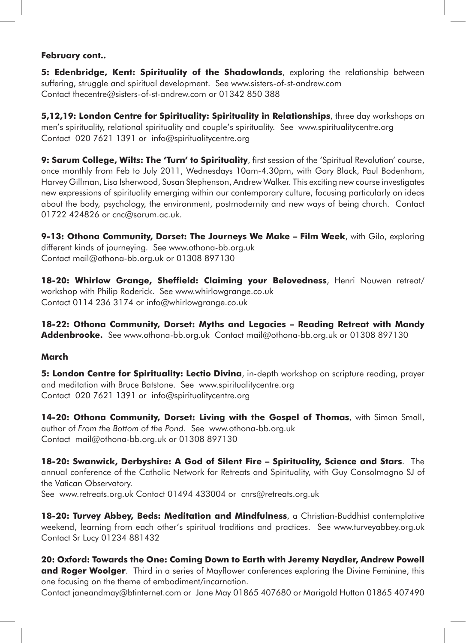#### **February cont..**

**5: Edenbridge, Kent: Spirituality of the Shadowlands**, exploring the relationship between suffering, struggle and spiritual development. See www.sisters-of-st-andrew.com Contact thecentre@sisters-of-st-andrew.com or 01342 850 388

**5,12,19: London Centre for Spirituality: Spirituality in Relationships**, three day workshops on men's spirituality, relational spirituality and couple's spirituality. See www.spiritualitycentre.org Contact 020 7621 1391 or info@spiritualitycentre.org

**9: Sarum College, Wilts: The 'Turn' to Spirituality**, first session of the 'Spiritual Revolution' course, once monthly from Feb to July 2011, Wednesdays 10am-4.30pm, with Gary Black, Paul Bodenham, Harvey Gillman, Lisa Isherwood, Susan Stephenson, Andrew Walker. This exciting new course investigates new expressions of spirituality emerging within our contemporary culture, focusing particularly on ideas about the body, psychology, the environment, postmodernity and new ways of being church. Contact 01722 424826 or cnc@sarum.ac.uk.

**9-13: Othona Community, Dorset: The Journeys We Make – Film Week**, with Gilo, exploring different kinds of journeying. See www.othona-bb.org.uk Contact mail@othona-bb.org.uk or 01308 897130

**18-20: Whirlow Grange, Sheffield: Claiming your Belovedness**, Henri Nouwen retreat/ workshop with Philip Roderick. See www.whirlowgrange.co.uk Contact 0114 236 3174 or info@whirlowgrange.co.uk

**18-22: Othona Community, Dorset: Myths and Legacies – Reading Retreat with Mandy Addenbrooke.** See www.othona-bb.org.uk Contact mail@othona-bb.org.uk or 01308 897130

#### **March**

**5: London Centre for Spirituality: Lectio Divina**, in-depth workshop on scripture reading, prayer and meditation with Bruce Batstone. See www.spiritualitycentre.org Contact 020 7621 1391 or info@spiritualitycentre.org

**14-20: Othona Community, Dorset: Living with the Gospel of Thomas**, with Simon Small, author of *From the Bottom of the Pond*. See www.othona-bb.org.uk Contact mail@othona-bb.org.uk or 01308 897130

**18-20: Swanwick, Derbyshire: A God of Silent Fire – Spirituality, Science and Stars**. The annual conference of the Catholic Network for Retreats and Spirituality, with Guy Consolmagno SJ of the Vatican Observatory. See www.retreats.org.uk Contact 01494 433004 or cnrs@retreats.org.uk

**18-20: Turvey Abbey, Beds: Meditation and Mindfulness**, a Christian-Buddhist contemplative weekend, learning from each other's spiritual traditions and practices. See www.turveyabbey.org.uk Contact Sr Lucy 01234 881432

**20: Oxford: Towards the One: Coming Down to Earth with Jeremy Naydler, Andrew Powell and Roger Woolger**. Third in a series of Mayflower conferences exploring the Divine Feminine, this one focusing on the theme of embodiment/incarnation.

Contact janeandmay@btinternet.com or Jane May 01865 407680 or Marigold Hutton 01865 407490